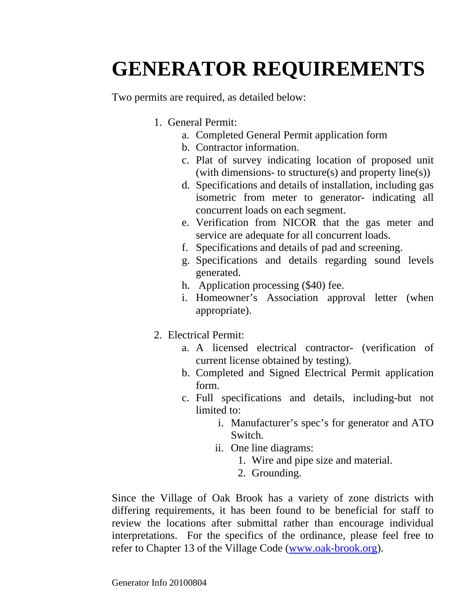## **GENERATOR REQUIREMENTS**

Two permits are required, as detailed below:

- 1. General Permit:
	- a. Completed General Permit application form
	- b. Contractor information.
	- c. Plat of survey indicating location of proposed unit (with dimensions- to structure(s) and property line(s))
	- d. Specifications and details of installation, including gas isometric from meter to generator- indicating all concurrent loads on each segment.
	- e. Verification from NICOR that the gas meter and service are adequate for all concurrent loads.
	- f. Specifications and details of pad and screening.
	- g. Specifications and details regarding sound levels generated.
	- h. Application processing (\$40) fee.
	- i. Homeowner's Association approval letter (when appropriate).
- 2. Electrical Permit:
	- a. A licensed electrical contractor- (verification of current license obtained by testing).
	- b. Completed and Signed Electrical Permit application form.
	- c. Full specifications and details, including-but not limited to:
		- i. Manufacturer's spec's for generator and ATO Switch.
		- ii. One line diagrams:
			- 1. Wire and pipe size and material.
			- 2. Grounding.

Since the Village of Oak Brook has a variety of zone districts with differing requirements, it has been found to be beneficial for staff to review the locations after submittal rather than encourage individual interpretations. For the specifics of the ordinance, please feel free to refer to Chapter 13 of the Village Code (www.oak-brook.org).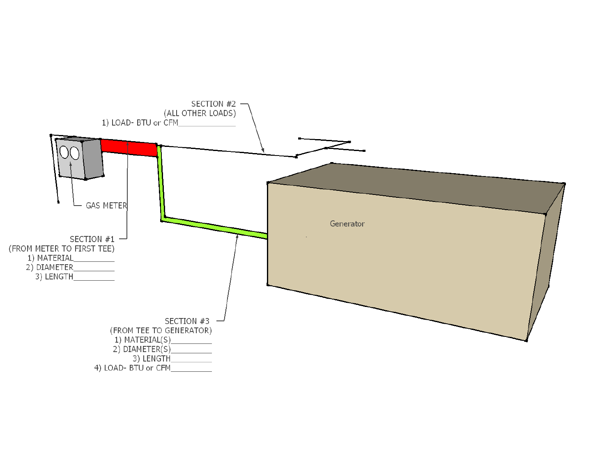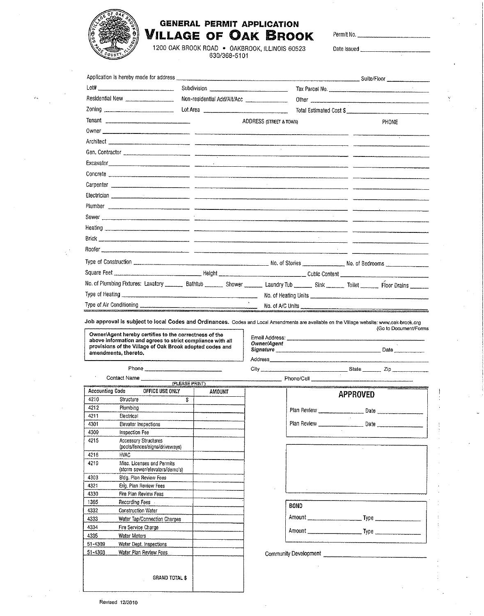

## **GENERAL PERMIT APPLICATION** Village of Oak Brook

Permit No.

Date Issued

1200 OAK BROOK ROAD • OAKBROOK, ILLINOIS 60523<br>630/368-5101

| Subdivision ___________________________________ |                                                                                                                                                         | Tax Parcel No.          |  |  |  |
|-------------------------------------------------|---------------------------------------------------------------------------------------------------------------------------------------------------------|-------------------------|--|--|--|
| Non-residential Add/Alt/Acc ___________________ |                                                                                                                                                         |                         |  |  |  |
| Lot Area <b>contract to the Contract Area</b>   |                                                                                                                                                         | Total Estimated Cost \$ |  |  |  |
|                                                 | <b>ADDRESS (STREET &amp; TOWN)</b>                                                                                                                      | PHONE                   |  |  |  |
|                                                 |                                                                                                                                                         |                         |  |  |  |
|                                                 |                                                                                                                                                         |                         |  |  |  |
|                                                 |                                                                                                                                                         |                         |  |  |  |
|                                                 |                                                                                                                                                         |                         |  |  |  |
|                                                 |                                                                                                                                                         |                         |  |  |  |
|                                                 |                                                                                                                                                         |                         |  |  |  |
|                                                 |                                                                                                                                                         |                         |  |  |  |
|                                                 |                                                                                                                                                         |                         |  |  |  |
|                                                 |                                                                                                                                                         |                         |  |  |  |
|                                                 |                                                                                                                                                         |                         |  |  |  |
|                                                 |                                                                                                                                                         |                         |  |  |  |
|                                                 |                                                                                                                                                         |                         |  |  |  |
|                                                 |                                                                                                                                                         |                         |  |  |  |
|                                                 |                                                                                                                                                         |                         |  |  |  |
|                                                 | No. of Plumbing Fixtures: Lavatory __________ Bathtub _________ Shower _________ Laundry Tub ________ Sink ________ Toilet _______ Floor Drains _______ |                         |  |  |  |
|                                                 |                                                                                                                                                         |                         |  |  |  |
|                                                 | No. of A/C Units                                                                                                                                        |                         |  |  |  |

Job approval is subject to local Codes and Ordinances. Codes and Local Amendments are available on the Village website: www.oak-brook.org<br>(Go to Document/Forms)

Owner/Agent hereby certifies to the correctness of the above information and agrees to strict compliance with all<br>provisions of the Village of Oak Brook adopted codes and amendments, thereto.

(PLEASE PRINT)

AMOUNT

| Email Address:<br>Owner/Agent<br>Signature |                           | Date          |  |
|--------------------------------------------|---------------------------|---------------|--|
| Address                                    |                           |               |  |
| $-11.1$                                    | Cambridge <b>Contract</b> | $\rightarrow$ |  |

Contact Name

**Accounting Code** 

Phone

Phone/Cell

|             | APPROVED |  |  |  |  |
|-------------|----------|--|--|--|--|
| Plan Review | Date     |  |  |  |  |
| Plan Review | Date     |  |  |  |  |

| ٠           |     |
|-------------|-----|
|             |     |
| <b>BOND</b> |     |
| Amount      |     |
| Amount      | Two |

Community Development

OFFICE USE ONLY

| 4210    | Structure                                                    | \$ |
|---------|--------------------------------------------------------------|----|
| 4212    | Plumbina                                                     |    |
| 4211    | Electrical                                                   |    |
| 4301    | Elevator Inspections                                         |    |
| 4309    | Inspection Fee                                               |    |
| 4215    | Accessory Structures<br>(pools/fences/signs/driveways)       |    |
| 4216    | HVAC                                                         |    |
| 4219    | Misc. Licenses and Permits<br>(storm sewer/elevators/demo's) |    |
| 4303    | Bldg. Plan Review Fees                                       |    |
| 4321    | Eng. Plan Review Fees                                        |    |
| 4330    | Fire Plan Review Fees                                        |    |
| 1365    | Recording Fees                                               |    |
| 4332    | <b>Construction Water</b>                                    |    |
| 4333    | Water Tap/Connection Charges                                 |    |
| 4334    | Fire Service Charge                                          |    |
| 4335    | Water Meters                                                 |    |
| 51-4309 | Water Dept. Inspections                                      |    |
| 51-4303 | Water Plan Review Fees                                       |    |

**GRAND TOTAL \$**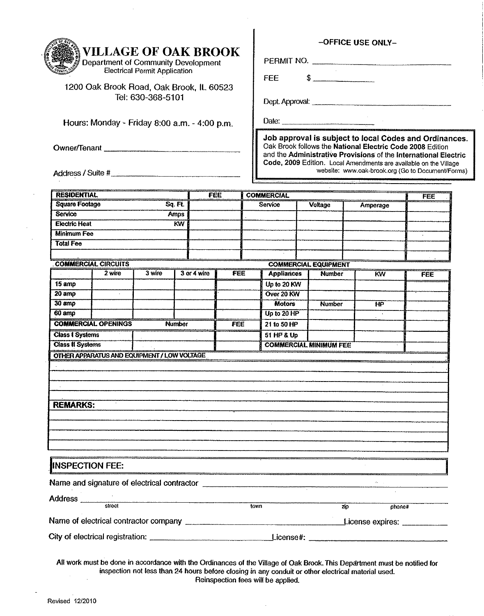| <b>VILLAGE OF OAK BROOK</b><br><b>Department of Community Development</b><br><b>Electrical Permit Application</b><br>1200 Oak Brook Road, Oak Brook, IL 60523<br>Tel: 630-368-5101<br>Hours: Monday - Friday 8:00 a.m. - 4:00 p.m.<br>Address / Suite # |                            |                                                                                 |               |            |                          | <b>FEE</b><br>Date:         |  | $\mathsf{\$}$                 | -OFFICE USE ONLY-<br>PERMIT NO.<br>Oak Brook follows the National Electric Code 2008 Edition | Job approval is subject to local Codes and Ordinances.<br>and the Administrative Provisions of the International Electric<br>Code, 2009 Edition. Local Amendments are available on the Village<br>website: www.oak-brook.org (Go to Document/Forms) |
|---------------------------------------------------------------------------------------------------------------------------------------------------------------------------------------------------------------------------------------------------------|----------------------------|---------------------------------------------------------------------------------|---------------|------------|--------------------------|-----------------------------|--|-------------------------------|----------------------------------------------------------------------------------------------|-----------------------------------------------------------------------------------------------------------------------------------------------------------------------------------------------------------------------------------------------------|
|                                                                                                                                                                                                                                                         |                            |                                                                                 |               |            |                          |                             |  |                               |                                                                                              |                                                                                                                                                                                                                                                     |
| <b>RESIDENTIAL</b>                                                                                                                                                                                                                                      |                            |                                                                                 |               | <b>FEE</b> |                          | <b>COMMERCIAL</b>           |  |                               |                                                                                              | FEE                                                                                                                                                                                                                                                 |
| <b>Square Footage</b>                                                                                                                                                                                                                                   |                            | $Sq$ . Ft.                                                                      |               |            |                          | <b>Service</b>              |  | Voltage                       | Amperage                                                                                     |                                                                                                                                                                                                                                                     |
| <b>Service</b>                                                                                                                                                                                                                                          |                            | <b>Amps</b>                                                                     |               |            |                          |                             |  |                               |                                                                                              |                                                                                                                                                                                                                                                     |
| Electric Heat                                                                                                                                                                                                                                           |                            |                                                                                 | KW.           |            |                          |                             |  |                               |                                                                                              |                                                                                                                                                                                                                                                     |
| <b>Minimum Fee</b>                                                                                                                                                                                                                                      |                            |                                                                                 |               |            |                          |                             |  |                               |                                                                                              |                                                                                                                                                                                                                                                     |
| <b>Total Fee</b>                                                                                                                                                                                                                                        |                            |                                                                                 |               |            |                          |                             |  |                               |                                                                                              |                                                                                                                                                                                                                                                     |
|                                                                                                                                                                                                                                                         |                            |                                                                                 |               |            |                          |                             |  |                               |                                                                                              |                                                                                                                                                                                                                                                     |
|                                                                                                                                                                                                                                                         | <b>COMMERCIAL CIRCUITS</b> |                                                                                 |               |            |                          | <b>COMMERCIAL EQUIPMENT</b> |  |                               |                                                                                              |                                                                                                                                                                                                                                                     |
|                                                                                                                                                                                                                                                         | 2 wire                     | 3 wire                                                                          | 3 or 4 wire   | <b>FEE</b> |                          | <b>Appliances</b>           |  | <b>Number</b>                 | <b>KW</b>                                                                                    | FEE                                                                                                                                                                                                                                                 |
| 15 amp                                                                                                                                                                                                                                                  |                            |                                                                                 |               |            |                          | Up to 20 KW                 |  |                               |                                                                                              |                                                                                                                                                                                                                                                     |
| 20 amp                                                                                                                                                                                                                                                  |                            |                                                                                 |               |            |                          | Over 20 KW                  |  |                               |                                                                                              |                                                                                                                                                                                                                                                     |
| 30 amp                                                                                                                                                                                                                                                  |                            |                                                                                 |               |            |                          | <b>Motors</b>               |  | <b>Number</b>                 | HР                                                                                           |                                                                                                                                                                                                                                                     |
| 60 amp                                                                                                                                                                                                                                                  |                            |                                                                                 |               |            |                          | Up to 20 HP                 |  |                               |                                                                                              |                                                                                                                                                                                                                                                     |
|                                                                                                                                                                                                                                                         | <b>COMMERCIAL OPENINGS</b> |                                                                                 | <b>Number</b> | <b>FEE</b> |                          | 21 to 50 HP                 |  |                               |                                                                                              |                                                                                                                                                                                                                                                     |
| <b>Class I Systems</b>                                                                                                                                                                                                                                  |                            |                                                                                 |               |            |                          | 51 HP & Up                  |  |                               |                                                                                              |                                                                                                                                                                                                                                                     |
| <b>Class II Systems</b>                                                                                                                                                                                                                                 |                            | <b>OTHER APPARATUS AND EQUIPMENT / LOW VOLTAGE</b>                              |               |            |                          |                             |  | <b>COMMERCIAL MINIMUM FEE</b> |                                                                                              |                                                                                                                                                                                                                                                     |
| <b>REMARKS:</b>                                                                                                                                                                                                                                         |                            |                                                                                 |               |            |                          |                             |  |                               |                                                                                              |                                                                                                                                                                                                                                                     |
|                                                                                                                                                                                                                                                         |                            |                                                                                 |               |            |                          |                             |  |                               |                                                                                              |                                                                                                                                                                                                                                                     |
| <b>INSPECTION FEE:</b>                                                                                                                                                                                                                                  |                            |                                                                                 |               |            |                          |                             |  |                               |                                                                                              |                                                                                                                                                                                                                                                     |
|                                                                                                                                                                                                                                                         |                            | <u> 1980 - Andrea Andrew Maria (h. 1980).</u><br>1980 - Andrew Maria (h. 1980). |               |            | $\overline{\text{town}}$ |                             |  | zίο                           | phone#                                                                                       |                                                                                                                                                                                                                                                     |
|                                                                                                                                                                                                                                                         |                            |                                                                                 |               |            |                          |                             |  |                               | License expires: ___________                                                                 |                                                                                                                                                                                                                                                     |

÷.  $\ddot{\phantom{1}}$ 

All work must be done in accordance with the Ordinances of the Village of Oak Brook. This Department must be notified for<br>inspection not less than 24 hours before closing in any conduit or other electrical material used.  $\bar{z}$ Reinspection fees will be applied.

 $\bar{z}$ 

 $\hat{\boldsymbol{\beta}}$ 

 $\hat{\mathcal{A}}$